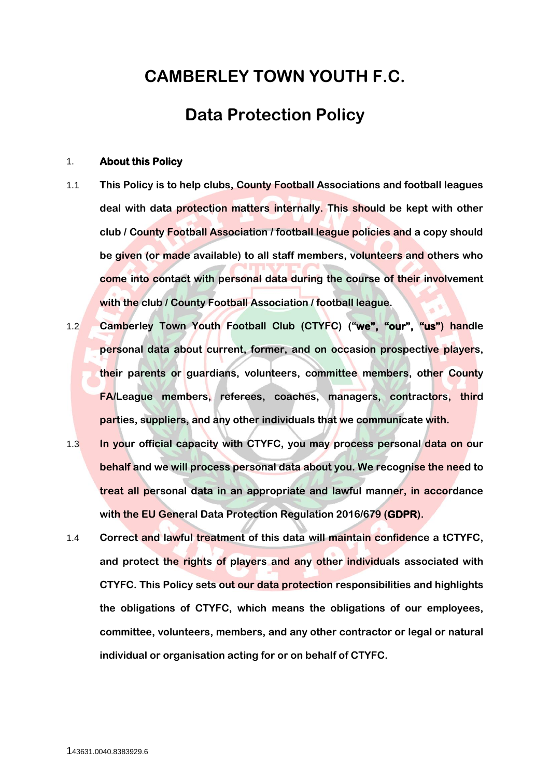# **CAMBERLEY TOWN YOUTH F.C.**

## **Data Protection Policy**

#### 1. **About this Policy**

- 1.1 **This Policy is to help clubs, County Football Associations and football leagues deal with data protection matters internally. This should be kept with other club / County Football Association / football league policies and a copy should be given (or made available) to all staff members, volunteers and others who come into contact with personal data during the course of their involvement with the club / County Football Association / football league.**
- 1.2 **Camberley Town Youth Football Club (CTYFC) ("we", "our", "us") handle personal data about current, former, and on occasion prospective players, their parents or guardians, volunteers, committee members, other County FA/League members, referees, coaches, managers, contractors, third parties, suppliers, and any other individuals that we communicate with.**
- 1.3 **In your official capacity with CTYFC, you may process personal data on our behalf and we will process personal data about you. We recognise the need to treat all personal data in an appropriate and lawful manner, in accordance with the EU General Data Protection Regulation 2016/679 (GDPR).**
- 1.4 **Correct and lawful treatment of this data will maintain confidence a tCTYFC, and protect the rights of players and any other individuals associated with CTYFC. This Policy sets out our data protection responsibilities and highlights the obligations of CTYFC, which means the obligations of our employees, committee, volunteers, members, and any other contractor or legal or natural individual or organisation acting for or on behalf of CTYFC.**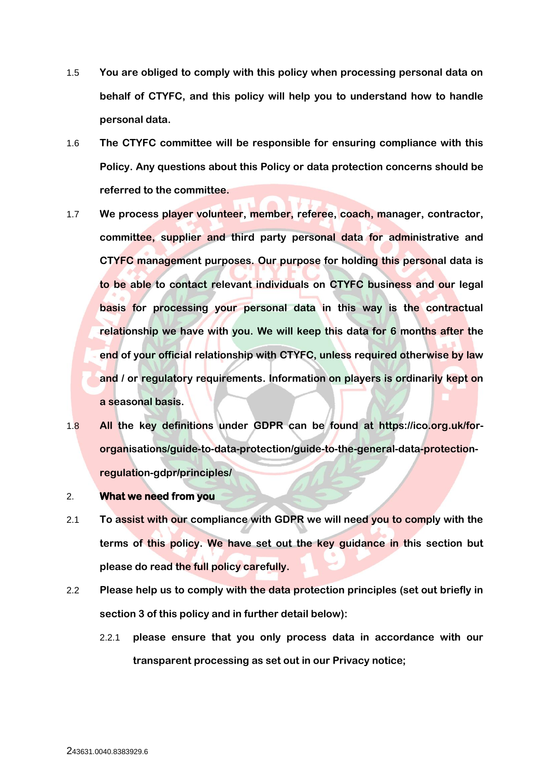- 1.5 **You are obliged to comply with this policy when processing personal data on behalf of CTYFC, and this policy will help you to understand how to handle personal data.**
- 1.6 **The CTYFC committee will be responsible for ensuring compliance with this Policy. Any questions about this Policy or data protection concerns should be referred to the committee.**
- 1.7 **We process player volunteer, member, referee, coach, manager, contractor, committee, supplier and third party personal data for administrative and CTYFC management purposes. Our purpose for holding this personal data is to be able to contact relevant individuals on CTYFC business and our legal basis for processing your personal data in this way is the contractual relationship we have with you. We will keep this data for 6 months after the end of your official relationship with CTYFC, unless required otherwise by law and / or regulatory requirements. Information on players is ordinarily kept on a seasonal basis.**
- 1.8 **All the key definitions under GDPR can be found at https://ico.org.uk/fororganisations/guide-to-data-protection/guide-to-the-general-data-protectionregulation-gdpr/principles/**
- 2. **What we need from you**
- 2.1 **To assist with our compliance with GDPR we will need you to comply with the terms of this policy. We have set out the key guidance in this section but please do read the full policy carefully.**
- 2.2 **Please help us to comply with the data protection principles (set out briefly in section [3](#page-3-0) of this policy and in further detail below):**
	- 2.2.1 **please ensure that you only process data in accordance with our transparent processing as set out in our Privacy notice;**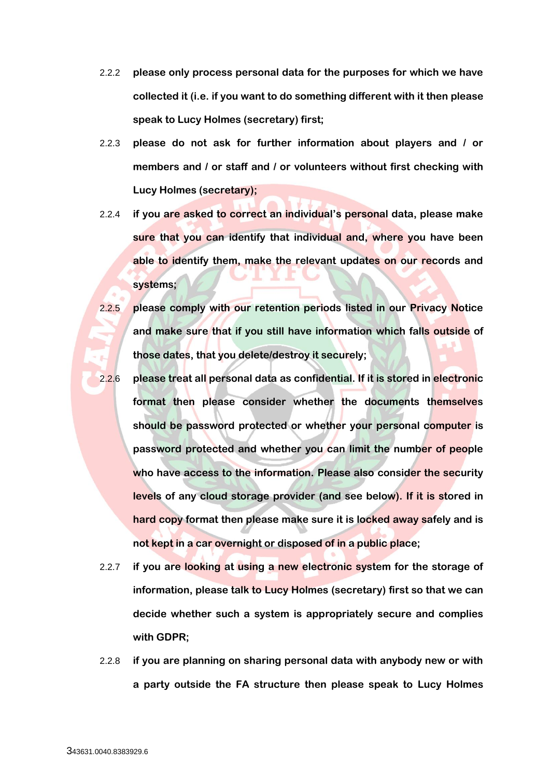- 2.2.2 **please only process personal data for the purposes for which we have collected it (i.e. if you want to do something different with it then please speak to Lucy Holmes (secretary) first;**
- 2.2.3 **please do not ask for further information about players and / or members and / or staff and / or volunteers without first checking with Lucy Holmes (secretary);**
- 2.2.4 **if you are asked to correct an individual's personal data, please make sure that you can identify that individual and, where you have been able to identify them, make the relevant updates on our records and systems;**
- 2.2.5 **please comply with our retention periods listed in our Privacy Notice and make sure that if you still have information which falls outside of those dates, that you delete/destroy it securely;**
- 2.2.6 **please treat all personal data as confidential. If it is stored in electronic format then please consider whether the documents themselves should be password protected or whether your personal computer is password protected and whether you can limit the number of people who have access to the information. Please also consider the security levels of any cloud storage provider (and see below). If it is stored in hard copy format then please make sure it is locked away safely and is not kept in a car overnight or disposed of in a public place;**
- 2.2.7 **if you are looking at using a new electronic system for the storage of information, please talk to Lucy Holmes (secretary) first so that we can decide whether such a system is appropriately secure and complies with GDPR;**
- 2.2.8 **if you are planning on sharing personal data with anybody new or with a party outside the FA structure then please speak to Lucy Holmes**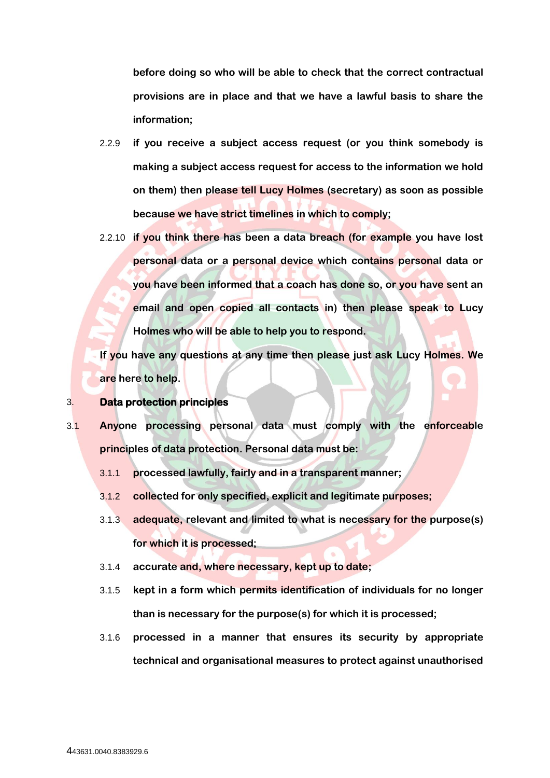**before doing so who will be able to check that the correct contractual provisions are in place and that we have a lawful basis to share the information;**

- 2.2.9 **if you receive a subject access request (or you think somebody is making a subject access request for access to the information we hold on them) then please tell Lucy Holmes (secretary) as soon as possible because we have strict timelines in which to comply;**
- 2.2.10 **if you think there has been a data breach (for example you have lost personal data or a personal device which contains personal data or you have been informed that a coach has done so, or you have sent an email and open copied all contacts in) then please speak to Lucy Holmes who will be able to help you to respond.**

**If you have any questions at any time then please just ask Lucy Holmes. We are here to help.**

#### <span id="page-3-0"></span>3. **Data protection principles**

- 3.1 **Anyone processing personal data must comply with the enforceable principles of data protection. Personal data must be:**
	- 3.1.1 **processed lawfully, fairly and in a transparent manner;**
	- 3.1.2 **collected for only specified, explicit and legitimate purposes;**
	- 3.1.3 **adequate, relevant and limited to what is necessary for the purpose(s) for which it is processed;**
	- 3.1.4 **accurate and, where necessary, kept up to date;**
	- 3.1.5 **kept in a form which permits identification of individuals for no longer than is necessary for the purpose(s) for which it is processed;**
	- 3.1.6 **processed in a manner that ensures its security by appropriate technical and organisational measures to protect against unauthorised**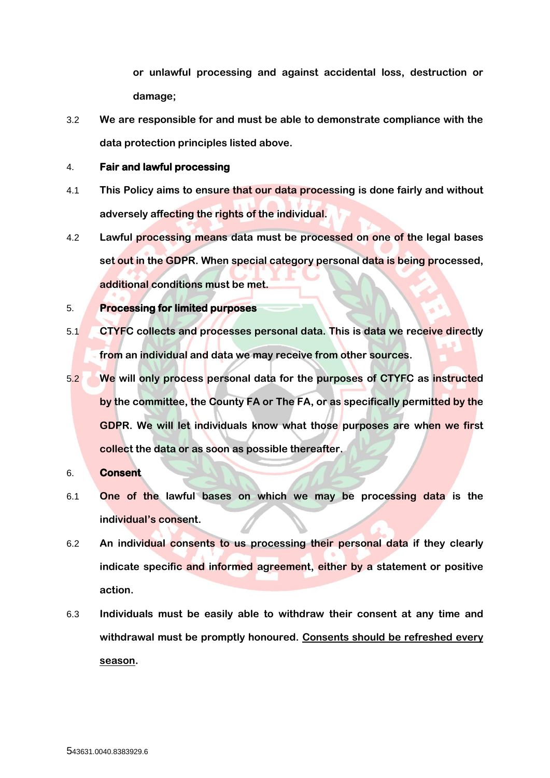**or unlawful processing and against accidental loss, destruction or damage;**

3.2 **We are responsible for and must be able to demonstrate compliance with the data protection principles listed above.**

#### 4. **Fair and lawful processing**

- 4.1 **This Policy aims to ensure that our data processing is done fairly and without adversely affecting the rights of the individual.**
- 4.2 **Lawful processing means data must be processed on one of the legal bases set out in the GDPR. When special category personal data is being processed, additional conditions must be met.**

## 5. **Processing for limited purposes**

- 5.1 **CTYFC collects and processes personal data. This is data we receive directly from an individual and data we may receive from other sources.**
- 5.2 **We will only process personal data for the purposes of CTYFC as instructed by the committee, the County FA or The FA, or as specifically permitted by the GDPR. We will let individuals know what those purposes are when we first collect the data or as soon as possible thereafter.**

## 6. **Consent**

- 6.1 **One of the lawful bases on which we may be processing data is the individual's consent.**
- 6.2 **An individual consents to us processing their personal data if they clearly indicate specific and informed agreement, either by a statement or positive action.**
- 6.3 **Individuals must be easily able to withdraw their consent at any time and withdrawal must be promptly honoured. Consents should be refreshed every season.**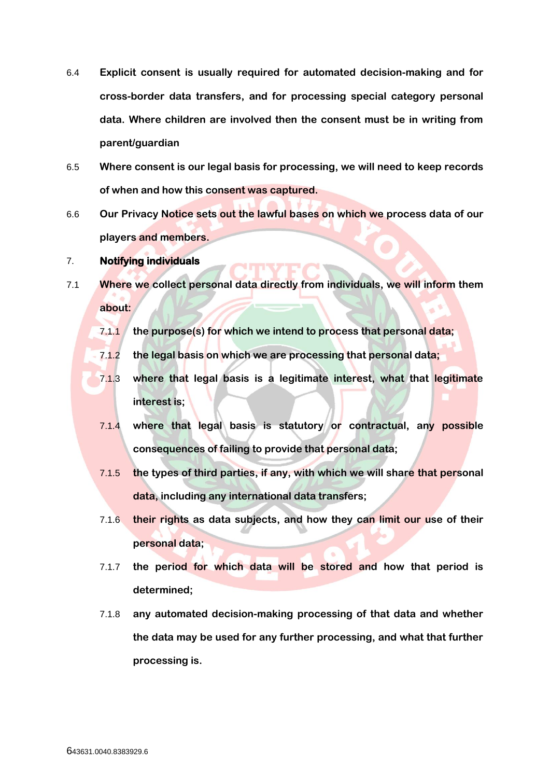- 6.4 **Explicit consent is usually required for automated decision-making and for cross-border data transfers, and for processing special category personal data. Where children are involved then the consent must be in writing from parent/guardian**
- 6.5 **Where consent is our legal basis for processing, we will need to keep records of when and how this consent was captured.**
- 6.6 **Our Privacy Notice sets out the lawful bases on which we process data of our players and members.**

#### 7. **Notifying individuals**

- 7.1 **Where we collect personal data directly from individuals, we will inform them about:**
	- 7.1.1 **the purpose(s) for which we intend to process that personal data;**
	- 7.1.2 **the legal basis on which we are processing that personal data;**
	- 7.1.3 **where that legal basis is a legitimate interest, what that legitimate interest is;**
	- 7.1.4 **where that legal basis is statutory or contractual, any possible consequences of failing to provide that personal data;**
	- 7.1.5 **the types of third parties, if any, with which we will share that personal data, including any international data transfers;**
	- 7.1.6 **their rights as data subjects, and how they can limit our use of their personal data;**
	- 7.1.7 **the period for which data will be stored and how that period is determined;**
	- 7.1.8 **any automated decision-making processing of that data and whether the data may be used for any further processing, and what that further processing is.**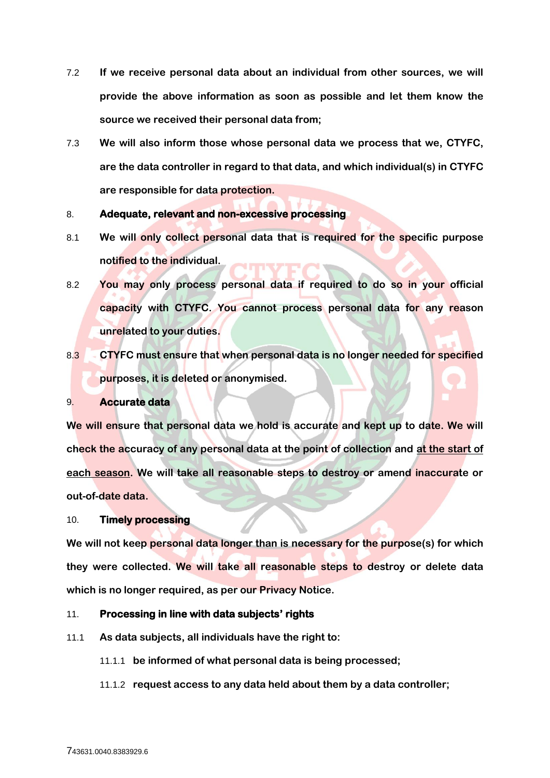- 7.2 **If we receive personal data about an individual from other sources, we will provide the above information as soon as possible and let them know the source we received their personal data from;**
- 7.3 **We will also inform those whose personal data we process that we, CTYFC, are the data controller in regard to that data, and which individual(s) in CTYFC are responsible for data protection.**

#### 8. **Adequate, relevant and non-excessive processing**

- 8.1 **We will only collect personal data that is required for the specific purpose notified to the individual.**
- 8.2 **You may only process personal data if required to do so in your official capacity with CTYFC. You cannot process personal data for any reason unrelated to your duties.**
- 8.3 **CTYFC must ensure that when personal data is no longer needed for specified purposes, it is deleted or anonymised.**

#### 9. **Accurate data**

**We will ensure that personal data we hold is accurate and kept up to date. We will check the accuracy of any personal data at the point of collection and at the start of each season. We will take all reasonable steps to destroy or amend inaccurate or out-of-date data.** 

#### 10. **Timely processing**

**We will not keep personal data longer than is necessary for the purpose(s) for which they were collected. We will take all reasonable steps to destroy or delete data which is no longer required, as per our Privacy Notice.**

### 11. **Processing in line with data subjects' rights**

- 11.1 **As data subjects, all individuals have the right to:**
	- 11.1.1 **be informed of what personal data is being processed;**
	- 11.1.2 **request access to any data held about them by a data controller;**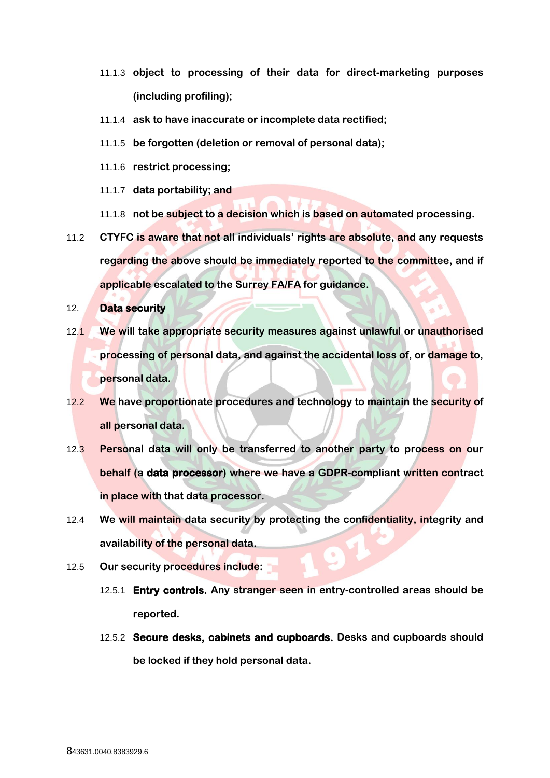- 11.1.3 **object to processing of their data for direct-marketing purposes (including profiling);**
- 11.1.4 **ask to have inaccurate or incomplete data rectified;**
- 11.1.5 **be forgotten (deletion or removal of personal data);**
- 11.1.6 **restrict processing;**
- 11.1.7 **data portability; and**
- 11.1.8 **not be subject to a decision which is based on automated processing.**
- 11.2 **CTYFC is aware that not all individuals' rights are absolute, and any requests regarding the above should be immediately reported to the committee, and if applicable escalated to the Surrey FA/FA for guidance.**

12. **Data security** 

- 12.1 **We will take appropriate security measures against unlawful or unauthorised processing of personal data, and against the accidental loss of, or damage to, personal data.**
- 12.2 **We have proportionate procedures and technology to maintain the security of all personal data.**
- 12.3 **Personal data will only be transferred to another party to process on our behalf (a data processor) where we have a GDPR-compliant written contract in place with that data processor.**
- 12.4 **We will maintain data security by protecting the confidentiality, integrity and availability of the personal data.**
- 12.5 **Our security procedures include:**
	- 12.5.1 **Entry controls. Any stranger seen in entry-controlled areas should be reported.**
	- 12.5.2 **Secure desks, cabinets and cupboards. Desks and cupboards should be locked if they hold personal data.**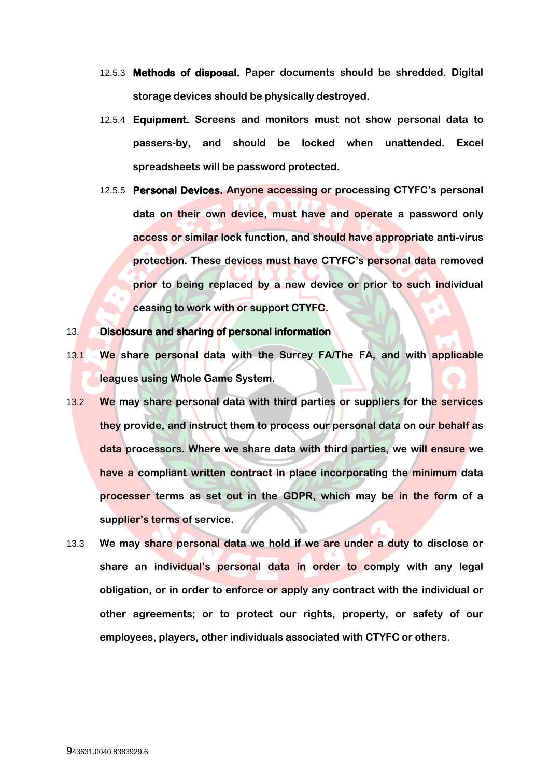- 12.5.3 **Methods of disposal. Paper documents should be shredded. Digital storage devices should be physically destroyed.**
- 12.5.4 **Equipment. Screens and monitors must not show personal data to passers-by, and should be locked when unattended. Excel spreadsheets will be password protected.**
- 12.5.5 **Personal Devices. Anyone accessing or processing CTYFC's personal data on their own device, must have and operate a password only access or similar lock function, and should have appropriate anti-virus protection. These devices must have CTYFC's personal data removed prior to being replaced by a new device or prior to such individual ceasing to work with or support CTYFC.**

#### 13. **Disclosure and sharing of personal information**

- 13.1 **We share personal data with the Surrey FA/The FA, and with applicable leagues using Whole Game System.**
- 13.2 **We may share personal data with third parties or suppliers for the services they provide, and instruct them to process our personal data on our behalf as data processors. Where we share data with third parties, we will ensure we have a compliant written contract in place incorporating the minimum data processer terms as set out in the GDPR, which may be in the form of a supplier's terms of service.**
- 13.3 **We may share personal data we hold if we are under a duty to disclose or share an individual's personal data in order to comply with any legal obligation, or in order to enforce or apply any contract with the individual or other agreements; or to protect our rights, property, or safety of our employees, players, other individuals associated with CTYFC or others.**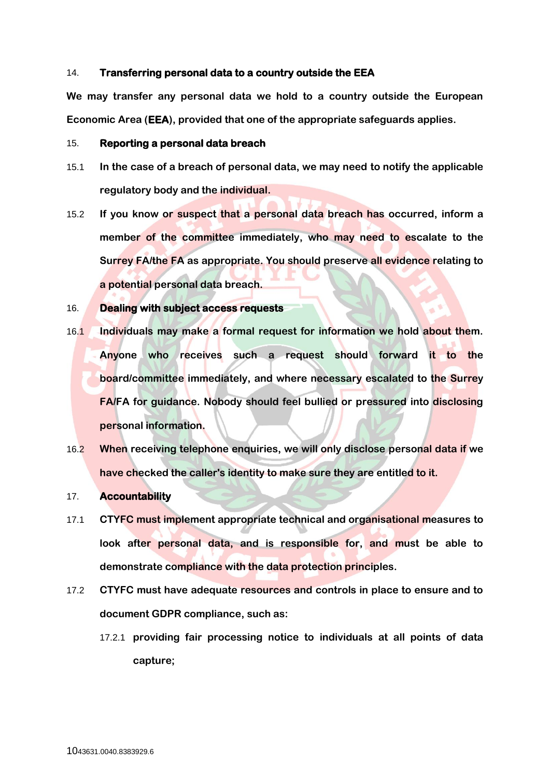#### 14. **Transferring personal data to a country outside the EEA**

**We may transfer any personal data we hold to a country outside the European Economic Area (EEA), provided that one of the appropriate safeguards applies.**

#### 15. **Reporting a personal data breach**

- 15.1 **In the case of a breach of personal data, we may need to notify the applicable regulatory body and the individual.**
- 15.2 **If you know or suspect that a personal data breach has occurred, inform a member of the committee immediately, who may need to escalate to the Surrey FA/the FA as appropriate. You should preserve all evidence relating to a potential personal data breach.**

## 16. **Dealing with subject access requests**

- 16.1 **Individuals may make a formal request for information we hold about them. Anyone who receives such a request should forward it to the board/committee immediately, and where necessary escalated to the Surrey FA/FA for guidance. Nobody should feel bullied or pressured into disclosing personal information.**
- 16.2 **When receiving telephone enquiries, we will only disclose personal data if we have checked the caller's identity to make sure they are entitled to it.**

### 17. **Accountability**

- 17.1 **CTYFC must implement appropriate technical and organisational measures to look after personal data, and is responsible for, and must be able to demonstrate compliance with the data protection principles.**
- 17.2 **CTYFC must have adequate resources and controls in place to ensure and to document GDPR compliance, such as:**
	- 17.2.1 **providing fair processing notice to individuals at all points of data capture;**